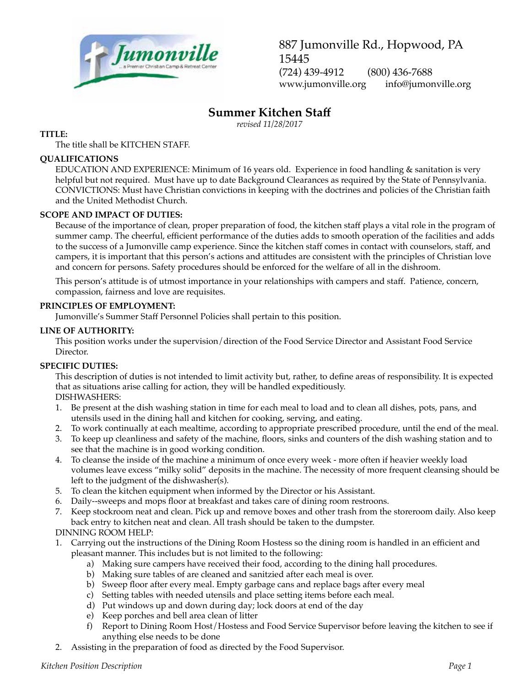

887 Jumonville Rd., Hopwood, PA 15445 (724) 439-4912 (800) 436-7688 www.jumonville.org info@jumonville.org

# **Summer Kitchen Staff**

*revised 11/28/2017*

## **TITLE:**

The title shall be KITCHEN STAFF.

## **QUALIFICATIONS**

EDUCATION AND EXPERIENCE: Minimum of 16 years old. Experience in food handling & sanitation is very helpful but not required. Must have up to date Background Clearances as required by the State of Pennsylvania. CONVICTIONS: Must have Christian convictions in keeping with the doctrines and policies of the Christian faith and the United Methodist Church.

## **SCOPE AND IMPACT OF DUTIES:**

Because of the importance of clean, proper preparation of food, the kitchen staff plays a vital role in the program of summer camp. The cheerful, efficient performance of the duties adds to smooth operation of the facilities and adds to the success of a Jumonville camp experience. Since the kitchen staff comes in contact with counselors, staff, and campers, it is important that this person's actions and attitudes are consistent with the principles of Christian love and concern for persons. Safety procedures should be enforced for the welfare of all in the dishroom.

This person's attitude is of utmost importance in your relationships with campers and staff. Patience, concern, compassion, fairness and love are requisites.

#### **PRINCIPLES OF EMPLOYMENT:**

Jumonville's Summer Staff Personnel Policies shall pertain to this position.

#### **LINE OF AUTHORITY:**

This position works under the supervision/direction of the Food Service Director and Assistant Food Service Director.

## **SPECIFIC DUTIES:**

This description of duties is not intended to limit activity but, rather, to define areas of responsibility. It is expected that as situations arise calling for action, they will be handled expeditiously. DISHWASHERS:

- 1. Be present at the dish washing station in time for each meal to load and to clean all dishes, pots, pans, and utensils used in the dining hall and kitchen for cooking, serving, and eating.
- 2. To work continually at each mealtime, according to appropriate prescribed procedure, until the end of the meal.
- 3. To keep up cleanliness and safety of the machine, floors, sinks and counters of the dish washing station and to see that the machine is in good working condition.
- 4. To cleanse the inside of the machine a minimum of once every week more often if heavier weekly load volumes leave excess "milky solid" deposits in the machine. The necessity of more frequent cleansing should be left to the judgment of the dishwasher(s).
- 5. To clean the kitchen equipment when informed by the Director or his Assistant.
- 6. Daily--sweeps and mops floor at breakfast and takes care of dining room restroons.
- 7. Keep stockroom neat and clean. Pick up and remove boxes and other trash from the storeroom daily. Also keep back entry to kitchen neat and clean. All trash should be taken to the dumpster.

DINNING ROOM HELP:

- 1. Carrying out the instructions of the Dining Room Hostess so the dining room is handled in an efficient and pleasant manner. This includes but is not limited to the following:
	- a) Making sure campers have received their food, according to the dining hall procedures.
	- b) Making sure tables of are cleaned and sanitzied after each meal is over.
	- b) Sweep floor after every meal. Empty garbage cans and replace bags after every meal
	- c) Setting tables with needed utensils and place setting items before each meal.
	- d) Put windows up and down during day; lock doors at end of the day
	- e) Keep porches and bell area clean of litter
	- f) Report to Dining Room Host/Hostess and Food Service Supervisor before leaving the kitchen to see if anything else needs to be done
- 2. Assisting in the preparation of food as directed by the Food Supervisor.